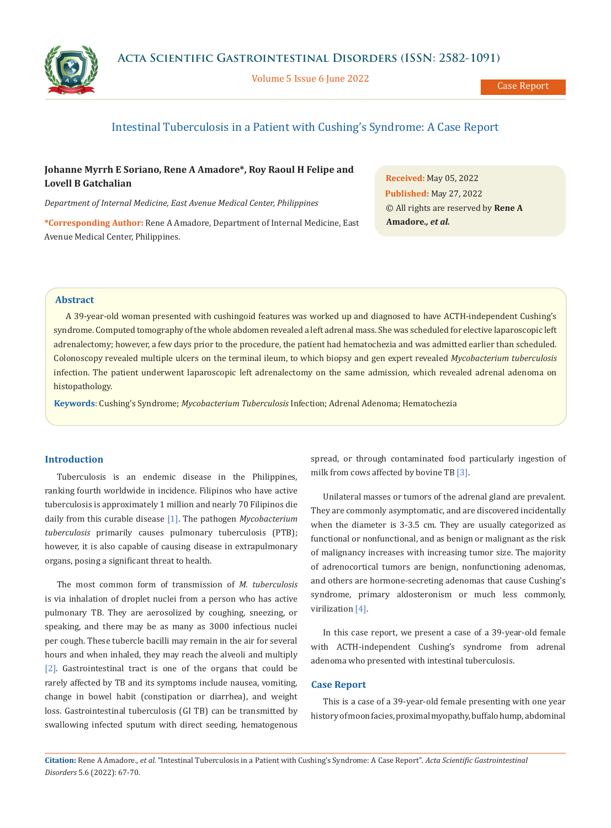Volume 5 Issue 6 June 2022



Case Report

# Intestinal Tuberculosis in a Patient with Cushing's Syndrome: A Case Report

# **Johanne Myrrh E Soriano, Rene A Amadore\*, Roy Raoul H Felipe and Lovell B Gatchalian**

*Department of Internal Medicine, East Avenue Medical Center, Philippines*

**\*Corresponding Author:** Rene A Amadore, Department of Internal Medicine, East Avenue Medical Center, Philippines.

**Received:** May 05, 2022 **Published:** May 27, 2022 © All rights are reserved by **Rene A Amadore***., et al.*

## **Abstract**

A 39-year-old woman presented with cushingoid features was worked up and diagnosed to have ACTH-independent Cushing's syndrome. Computed tomography of the whole abdomen revealed a left adrenal mass. She was scheduled for elective laparoscopic left adrenalectomy; however, a few days prior to the procedure, the patient had hematochezia and was admitted earlier than scheduled. Colonoscopy revealed multiple ulcers on the terminal ileum, to which biopsy and gen expert revealed *Mycobacterium tuberculosis* infection. The patient underwent laparoscopic left adrenalectomy on the same admission, which revealed adrenal adenoma on histopathology.

**Keywords**: Cushing's Syndrome; *Mycobacterium Tuberculosis* Infection; Adrenal Adenoma; Hematochezia

#### **Introduction**

Tuberculosis is an endemic disease in the Philippines, ranking fourth worldwide in incidence. Filipinos who have active tuberculosis is approximately 1 million and nearly 70 Filipinos die daily from this curable disease [1]. The pathogen *Mycobacterium tuberculosis* primarily causes pulmonary tuberculosis (PTB); however, it is also capable of causing disease in extrapulmonary organs, posing a significant threat to health.

The most common form of transmission of *M. tuberculosis* is via inhalation of droplet nuclei from a person who has active pulmonary TB. They are aerosolized by coughing, sneezing, or speaking, and there may be as many as 3000 infectious nuclei per cough. These tubercle bacilli may remain in the air for several hours and when inhaled, they may reach the alveoli and multiply [2]. Gastrointestinal tract is one of the organs that could be rarely affected by TB and its symptoms include nausea, vomiting, change in bowel habit (constipation or diarrhea), and weight loss. Gastrointestinal tuberculosis (GI TB) can be transmitted by swallowing infected sputum with direct seeding, hematogenous spread, or through contaminated food particularly ingestion of milk from cows affected by bovine TB [3].

Unilateral masses or tumors of the adrenal gland are prevalent. They are commonly asymptomatic, and are discovered incidentally when the diameter is 3-3.5 cm. They are usually categorized as functional or nonfunctional, and as benign or malignant as the risk of malignancy increases with increasing tumor size. The majority of adrenocortical tumors are benign, nonfunctioning adenomas, and others are hormone-secreting adenomas that cause Cushing's syndrome, primary aldosteronism or much less commonly, virilization [4].

In this case report, we present a case of a 39-year-old female with ACTH-independent Cushing's syndrome from adrenal adenoma who presented with intestinal tuberculosis.

### **Case Report**

This is a case of a 39-year-old female presenting with one year history of moon facies, proximal myopathy, buffalo hump, abdominal

**Citation:** Rene A Amadore*., et al.* "Intestinal Tuberculosis in a Patient with Cushing's Syndrome: A Case Report". *Acta Scientific Gastrointestinal Disorders* 5.6 (2022): 67-70.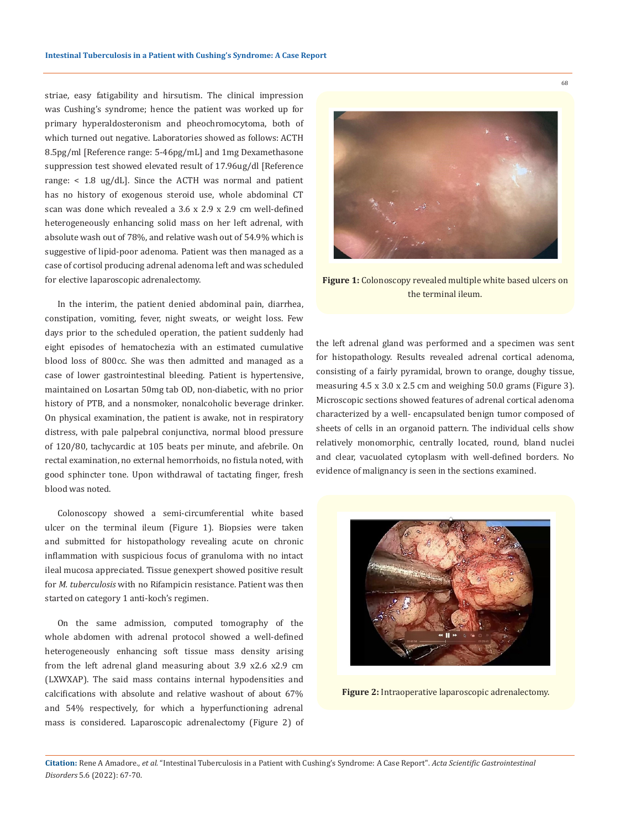striae, easy fatigability and hirsutism. The clinical impression was Cushing's syndrome; hence the patient was worked up for primary hyperaldosteronism and pheochromocytoma, both of which turned out negative. Laboratories showed as follows: ACTH 8.5pg/ml [Reference range: 5-46pg/mL] and 1mg Dexamethasone suppression test showed elevated result of 17.96ug/dl [Reference range: < 1.8 ug/dL]. Since the ACTH was normal and patient has no history of exogenous steroid use, whole abdominal CT scan was done which revealed a 3.6 x 2.9 x 2.9 cm well-defined heterogeneously enhancing solid mass on her left adrenal, with absolute wash out of 78%, and relative wash out of 54.9% which is suggestive of lipid-poor adenoma. Patient was then managed as a case of cortisol producing adrenal adenoma left and was scheduled for elective laparoscopic adrenalectomy.

In the interim, the patient denied abdominal pain, diarrhea, constipation, vomiting, fever, night sweats, or weight loss. Few days prior to the scheduled operation, the patient suddenly had eight episodes of hematochezia with an estimated cumulative blood loss of 800cc. She was then admitted and managed as a case of lower gastrointestinal bleeding. Patient is hypertensive, maintained on Losartan 50mg tab OD, non-diabetic, with no prior history of PTB, and a nonsmoker, nonalcoholic beverage drinker. On physical examination, the patient is awake, not in respiratory distress, with pale palpebral conjunctiva, normal blood pressure of 120/80, tachycardic at 105 beats per minute, and afebrile. On rectal examination, no external hemorrhoids, no fistula noted, with good sphincter tone. Upon withdrawal of tactating finger, fresh blood was noted.

Colonoscopy showed a semi-circumferential white based ulcer on the terminal ileum (Figure 1). Biopsies were taken and submitted for histopathology revealing acute on chronic inflammation with suspicious focus of granuloma with no intact ileal mucosa appreciated. Tissue genexpert showed positive result for *M. tuberculosis* with no Rifampicin resistance. Patient was then started on category 1 anti-koch's regimen.

On the same admission, computed tomography of the whole abdomen with adrenal protocol showed a well-defined heterogeneously enhancing soft tissue mass density arising from the left adrenal gland measuring about 3.9 x2.6 x2.9 cm (LXWXAP). The said mass contains internal hypodensities and calcifications with absolute and relative washout of about 67% and 54% respectively, for which a hyperfunctioning adrenal mass is considered. Laparoscopic adrenalectomy (Figure 2) of



**Figure 1:** Colonoscopy revealed multiple white based ulcers on the terminal ileum.

the left adrenal gland was performed and a specimen was sent for histopathology. Results revealed adrenal cortical adenoma, consisting of a fairly pyramidal, brown to orange, doughy tissue, measuring 4.5 x 3.0 x 2.5 cm and weighing 50.0 grams (Figure 3). Microscopic sections showed features of adrenal cortical adenoma characterized by a well- encapsulated benign tumor composed of sheets of cells in an organoid pattern. The individual cells show relatively monomorphic, centrally located, round, bland nuclei and clear, vacuolated cytoplasm with well-defined borders. No evidence of malignancy is seen in the sections examined.



**Figure 2:** Intraoperative laparoscopic adrenalectomy.

**Citation:** Rene A Amadore*., et al.* "Intestinal Tuberculosis in a Patient with Cushing's Syndrome: A Case Report". *Acta Scientific Gastrointestinal Disorders* 5.6 (2022): 67-70.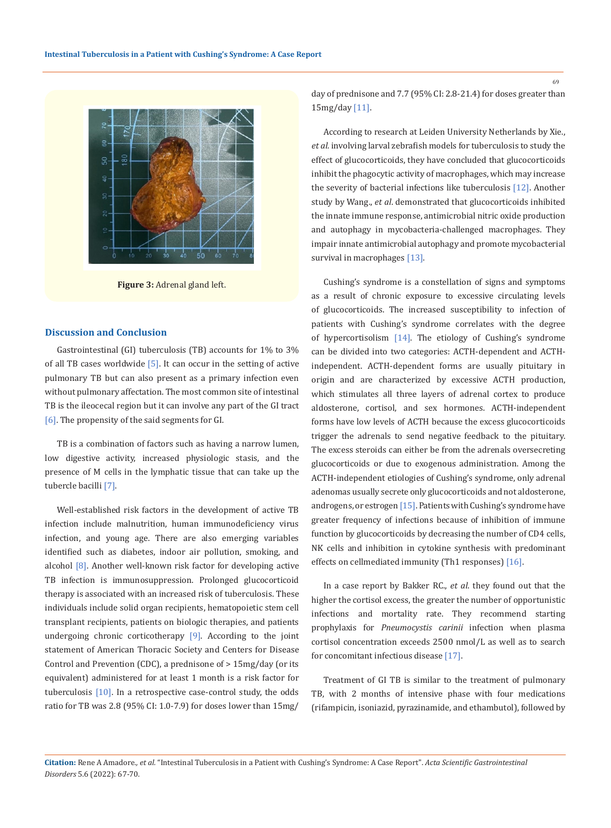

**Figure 3:** Adrenal gland left.

#### **Discussion and Conclusion**

Gastrointestinal (GI) tuberculosis (TB) accounts for 1% to 3% of all TB cases worldwide  $[5]$ . It can occur in the setting of active pulmonary TB but can also present as a primary infection even without pulmonary affectation. The most common site of intestinal TB is the ileocecal region but it can involve any part of the GI tract [6]. The propensity of the said segments for GI.

TB is a combination of factors such as having a narrow lumen, low digestive activity, increased physiologic stasis, and the presence of M cells in the lymphatic tissue that can take up the tubercle bacilli [7].

Well-established risk factors in the development of active TB infection include malnutrition, human immunodeficiency virus infection, and young age. There are also emerging variables identified such as diabetes, indoor air pollution, smoking, and alcohol  $[8]$ . Another well-known risk factor for developing active TB infection is immunosuppression. Prolonged glucocorticoid therapy is associated with an increased risk of tuberculosis. These individuals include solid organ recipients, hematopoietic stem cell transplant recipients, patients on biologic therapies, and patients undergoing chronic corticotherapy [9]. According to the joint statement of American Thoracic Society and Centers for Disease Control and Prevention (CDC), a prednisone of > 15mg/day (or its equivalent) administered for at least 1 month is a risk factor for tuberculosis  $[10]$ . In a retrospective case-control study, the odds ratio for TB was 2.8 (95% CI: 1.0-7.9) for doses lower than 15mg/

day of prednisone and 7.7 (95% CI: 2.8-21.4) for doses greater than 15mg/day [11].

According to research at Leiden University Netherlands by Xie., *et al.* involving larval zebrafish models for tuberculosis to study the effect of glucocorticoids, they have concluded that glucocorticoids inhibit the phagocytic activity of macrophages, which may increase the severity of bacterial infections like tuberculosis [12]. Another study by Wang., *et al*. demonstrated that glucocorticoids inhibited the innate immune response, antimicrobial nitric oxide production and autophagy in mycobacteria-challenged macrophages. They impair innate antimicrobial autophagy and promote mycobacterial survival in macrophages [13].

Cushing's syndrome is a constellation of signs and symptoms as a result of chronic exposure to excessive circulating levels of glucocorticoids. The increased susceptibility to infection of patients with Cushing's syndrome correlates with the degree of hypercortisolism [14]. The etiology of Cushing's syndrome can be divided into two categories: ACTH-dependent and ACTHindependent. ACTH-dependent forms are usually pituitary in origin and are characterized by excessive ACTH production, which stimulates all three layers of adrenal cortex to produce aldosterone, cortisol, and sex hormones. ACTH-independent forms have low levels of ACTH because the excess glucocorticoids trigger the adrenals to send negative feedback to the pituitary. The excess steroids can either be from the adrenals oversecreting glucocorticoids or due to exogenous administration. Among the ACTH-independent etiologies of Cushing's syndrome, only adrenal adenomas usually secrete only glucocorticoids and not aldosterone, androgens, or estrogen [15]. Patients with Cushing's syndrome have greater frequency of infections because of inhibition of immune function by glucocorticoids by decreasing the number of CD4 cells, NK cells and inhibition in cytokine synthesis with predominant effects on cellmediated immunity (Th1 responses) [16].

In a case report by Bakker RC., *et al*. they found out that the higher the cortisol excess, the greater the number of opportunistic infections and mortality rate. They recommend starting prophylaxis for *Pneumocystis carinii* infection when plasma cortisol concentration exceeds 2500 nmol/L as well as to search for concomitant infectious disease [17].

Treatment of GI TB is similar to the treatment of pulmonary TB, with 2 months of intensive phase with four medications (rifampicin, isoniazid, pyrazinamide, and ethambutol), followed by

**Citation:** Rene A Amadore*., et al.* "Intestinal Tuberculosis in a Patient with Cushing's Syndrome: A Case Report". *Acta Scientific Gastrointestinal Disorders* 5.6 (2022): 67-70.